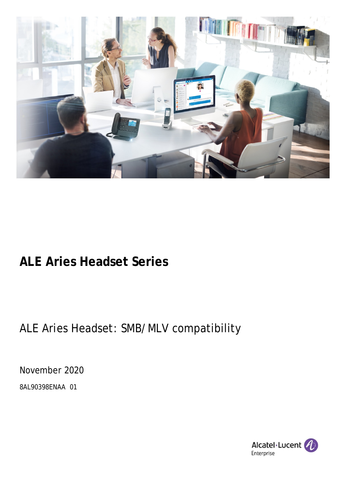

### **ALE Aries Headset Series**

### ALE Aries Headset: SMB/MLV compatibility

November 2020

8AL90398ENAA 01

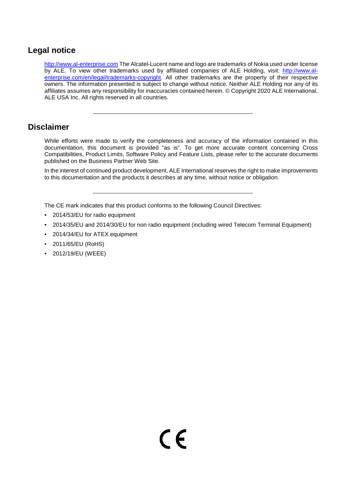#### **Legal notice**

[http://www.al-enterprise.com](http://www.al-enterprise.com/) The Alcatel-Lucent name and logo are trademarks of Nokia used under license by ALE. To view other trademarks used by affiliated companies of ALE Holding, visit: [http://www.al](http://www.al-enterprise.com/en/legal/trademarks-copyright)[enterprise.com/en/legal/trademarks-copyright.](http://www.al-enterprise.com/en/legal/trademarks-copyright) All other trademarks are the property of their respective owners. The information presented is subject to change without notice. Neither ALE Holding nor any of its affiliates assumes any responsibility for inaccuracies contained herein. © Copyright 2020 ALE International, ALE USA Inc. All rights reserved in all countries.

#### **Disclaimer**

While efforts were made to verify the completeness and accuracy of the information contained in this documentation, this document is provided "as is". To get more accurate content concerning Cross Compatibilities, Product Limits, Software Policy and Feature Lists, please refer to the accurate documents published on the Business Partner Web Site.

In the interest of continued product development, ALE International reserves the right to make improvements to this documentation and the products it describes at any time, without notice or obligation.

The CE mark indicates that this product conforms to the following Council Directives:

- 2014/53/EU for radio equipment
- 2014/35/EU and 2014/30/EU for non radio equipment (including wired Telecom Terminal Equipment)
- 2014/34/EU for ATEX equipment
- 2011/65/EU (RoHS)
- 2012/19/EU (WEEE)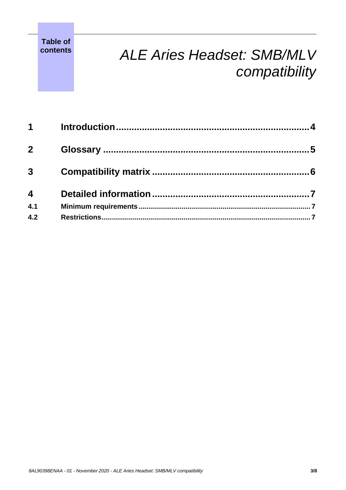**Table of** 

# **contents** *ALE Aries Headset: SMB/MLV compatibility*

| $1 \quad$               |  |
|-------------------------|--|
| 2 <sup>1</sup>          |  |
| $\overline{3}$          |  |
| $\overline{\mathbf{4}}$ |  |
| 4.1                     |  |
| 4.2                     |  |
|                         |  |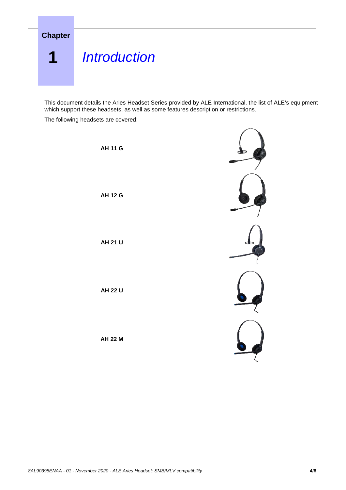<span id="page-3-0"></span>

This document details the Aries Headset Series provided by ALE International, the list of ALE's equipment which support these headsets, as well as some features description or restrictions.

The following headsets are covered:

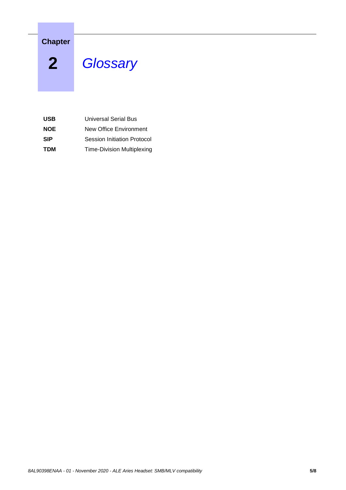**Chapter**

<span id="page-4-0"></span>**2** *<sup>2</sup> Glossary*

| <b>USB</b> | Universal Serial Bus              |
|------------|-----------------------------------|
| <b>NOE</b> | New Office Environment            |
| <b>SIP</b> | Session Initiation Protocol       |
| <b>TDM</b> | <b>Time-Division Multiplexing</b> |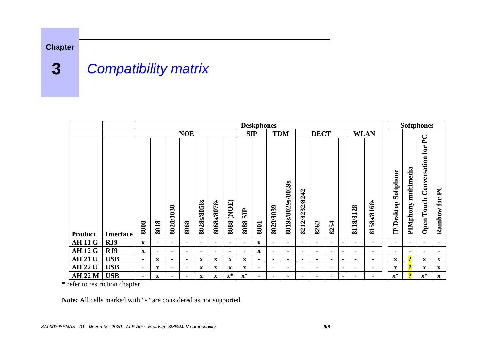### **Chapter**

## **3** *<sup>3</sup> Compatibility matrix*

|                |                  | <b>Deskphones</b> |                |                |                |                |                          |                |                    |                |                |                   |                | <b>Softphones</b> |                |                |                |                |                         |                |                         |                                                                         |                                           |
|----------------|------------------|-------------------|----------------|----------------|----------------|----------------|--------------------------|----------------|--------------------|----------------|----------------|-------------------|----------------|-------------------|----------------|----------------|----------------|----------------|-------------------------|----------------|-------------------------|-------------------------------------------------------------------------|-------------------------------------------|
|                |                  | <b>NOE</b>        |                |                |                |                | <b>SIP</b><br><b>TDM</b> |                |                    | <b>DECT</b>    |                |                   |                | <b>WLAN</b>       |                |                |                |                |                         |                |                         |                                                                         |                                           |
|                |                  | 8008              | 8018           | 8028/8038      | 8068           | 8028s/8058s    | 8068s/8078s              | (NOE)<br>8088  | <b>SIP</b><br>8088 | 8001           | 8029/8039      | 8019s/8029s/8039s | 8212/8232/8242 | 8262              | 8254           |                | 8118/8128      | 8158s/8168s    | Softphone<br>IP Desktop |                | multimedia<br>PIMphony  | $\mathbf{P} \mathbf{C}$<br>${\bf for}$<br>Conversation<br>Touch<br>Open | $\mathbf{P} \mathbf{C}$<br>for<br>Rainbow |
| <b>Product</b> | <b>Interface</b> |                   |                |                |                |                |                          |                |                    |                |                |                   |                |                   |                |                |                |                |                         |                |                         |                                                                         |                                           |
| <b>AH11G</b>   | RJ9              | $\mathbf{x}$      | $\blacksquare$ | $\blacksquare$ | $\blacksquare$ | $\blacksquare$ | $\blacksquare$           | $\blacksquare$ | ۰                  | $\mathbf X$    | $\blacksquare$ | $\blacksquare$    | $\blacksquare$ | $\blacksquare$    | $\blacksquare$ | $\blacksquare$ | $\blacksquare$ | $\blacksquare$ |                         | $\blacksquare$ | $\blacksquare$          | $\blacksquare$                                                          | ۰                                         |
| <b>AH 12 G</b> | RJ9              | $\mathbf X$       |                | $\blacksquare$ | $\blacksquare$ | $\blacksquare$ | $\blacksquare$           | Ξ.             |                    | $\mathbf X$    | $\blacksquare$ | $\blacksquare$    | $\blacksquare$ | ۰                 | $\blacksquare$ | $\blacksquare$ | $\blacksquare$ | ۰              |                         | $\blacksquare$ | $\blacksquare$          | $\blacksquare$                                                          | $\blacksquare$                            |
| <b>AH 21 U</b> | <b>USB</b>       |                   | $\mathbf X$    | $\blacksquare$ | $\blacksquare$ | $\mathbf x$    | $\mathbf X$              | $\mathbf x$    | $\mathbf{x}$       |                | $\blacksquare$ | $\blacksquare$    | $\blacksquare$ | ۰                 |                | $\blacksquare$ | $\blacksquare$ | ۰              |                         | $\mathbf x$    | $\overline{\mathbf{?}}$ | $\mathbf X$                                                             | $\mathbf X$                               |
| <b>AH 22 U</b> | <b>USB</b>       | $\blacksquare$    | $\mathbf X$    | $\blacksquare$ | $\blacksquare$ | $\mathbf{x}$   | $\mathbf{x}$             | X              | $\mathbf{X}$       | $\blacksquare$ | $\blacksquare$ | $\blacksquare$    | $\blacksquare$ |                   | $\blacksquare$ | $\blacksquare$ | $\blacksquare$ | ۰              |                         | X              | $\overline{\mathbf{?}}$ | $\mathbf{X}$                                                            | $\mathbf{X}$                              |
| <b>AH 22 M</b> | <b>USB</b>       | $\blacksquare$    | X              |                | $\blacksquare$ | $\mathbf X$    | $\mathbf{X}$             | $\mathbf{x}^*$ | $\mathbf{x}^*$     |                | $\blacksquare$ |                   | $\blacksquare$ |                   |                | $\blacksquare$ |                | Ξ.             |                         | $\mathbf{x}^*$ | $\overline{\mathbf{P}}$ | $\mathbf{x}^*$                                                          | $\mathbf{x}$                              |

<span id="page-5-0"></span>\* refer to restriction chapter

**Note:** All cells marked with "-" are considered as not supported.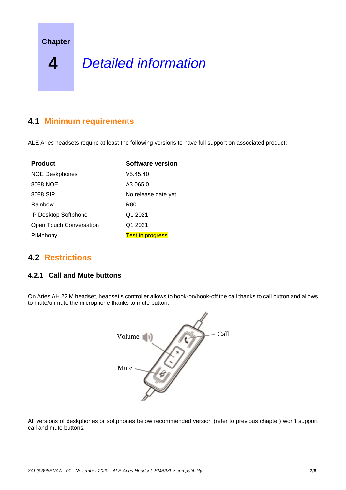**Chapter**

# <span id="page-6-0"></span>**4** *<sup>4</sup> Detailed information*

### <span id="page-6-1"></span>**4.1 Minimum requirements**

ALE Aries headsets require at least the following versions to have full support on associated product:

| <b>Product</b>          | <b>Software version</b> |  |  |  |  |  |  |  |
|-------------------------|-------------------------|--|--|--|--|--|--|--|
| <b>NOE Deskphones</b>   | V5.45.40                |  |  |  |  |  |  |  |
| 8088 NOE                | A3.065.0                |  |  |  |  |  |  |  |
| 8088 SIP                | No release date yet     |  |  |  |  |  |  |  |
| Rainbow                 | R80                     |  |  |  |  |  |  |  |
| IP Desktop Softphone    | Q1 2021                 |  |  |  |  |  |  |  |
| Open Touch Conversation | Q1 2021                 |  |  |  |  |  |  |  |
| PIMphony                | <b>Test in progress</b> |  |  |  |  |  |  |  |

### <span id="page-6-2"></span>**4.2 Restrictions**

#### **4.2.1 Call and Mute buttons**

On Aries AH 22 M headset, headset's controller allows to hook-on/hook-off the call thanks to call button and allows to mute/unmute the microphone thanks to mute button.



All versions of deskphones or softphones below recommended version (refer to previous chapter) won't support call and mute buttons.